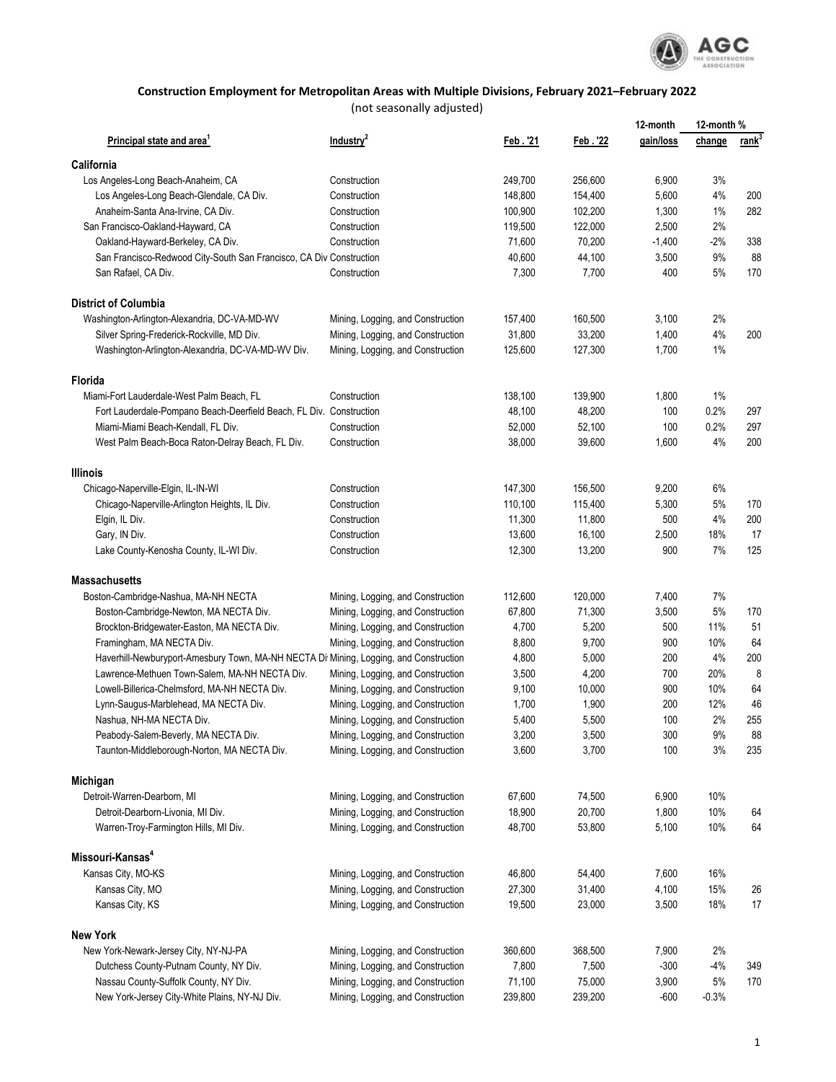

## **Construction Employment for Metropolitan Areas with Multiple Divisions, February 2021–February 2022**

(not seasonally adjusted)

|                                                                                       |                                   |         |          | 12-month  | 12-month % |                   |
|---------------------------------------------------------------------------------------|-----------------------------------|---------|----------|-----------|------------|-------------------|
| Principal state and area                                                              | Industry <sup>2</sup>             | Feb.'21 | Feb. '22 | gain/loss | change     | rank <sup>3</sup> |
| California                                                                            |                                   |         |          |           |            |                   |
| Los Angeles-Long Beach-Anaheim, CA                                                    | Construction                      | 249,700 | 256,600  | 6,900     | 3%         |                   |
| Los Angeles-Long Beach-Glendale, CA Div.                                              | Construction                      | 148,800 | 154,400  | 5,600     | $4\%$      | 200               |
| Anaheim-Santa Ana-Irvine, CA Div.                                                     | Construction                      | 100,900 | 102,200  | 1,300     | 1%         | 282               |
| San Francisco-Oakland-Hayward, CA                                                     | Construction                      | 119,500 | 122,000  | 2,500     | 2%         |                   |
| Oakland-Hayward-Berkeley, CA Div.                                                     | Construction                      | 71,600  | 70,200   | $-1,400$  | $-2%$      | 338               |
| San Francisco-Redwood City-South San Francisco, CA Div Construction                   |                                   | 40,600  | 44,100   | 3,500     | 9%         | 88                |
| San Rafael, CA Div.                                                                   | Construction                      | 7,300   | 7,700    | 400       | 5%         | 170               |
| <b>District of Columbia</b>                                                           |                                   |         |          |           |            |                   |
| Washington-Arlington-Alexandria, DC-VA-MD-WV                                          | Mining, Logging, and Construction | 157,400 | 160,500  | 3,100     | 2%         |                   |
| Silver Spring-Frederick-Rockville, MD Div.                                            | Mining, Logging, and Construction | 31,800  | 33,200   | 1,400     | 4%         | 200               |
| Washington-Arlington-Alexandria, DC-VA-MD-WV Div.                                     | Mining, Logging, and Construction | 125,600 | 127,300  | 1,700     | 1%         |                   |
| Florida                                                                               |                                   |         |          |           |            |                   |
| Miami-Fort Lauderdale-West Palm Beach, FL                                             | Construction                      | 138,100 | 139,900  | 1,800     | 1%         |                   |
| Fort Lauderdale-Pompano Beach-Deerfield Beach, FL Div. Construction                   |                                   | 48,100  | 48,200   | 100       | 0.2%       | 297               |
| Miami-Miami Beach-Kendall, FL Div.                                                    | Construction                      | 52,000  | 52,100   | 100       | 0.2%       | 297               |
| West Palm Beach-Boca Raton-Delray Beach, FL Div.                                      | Construction                      | 38,000  | 39,600   | 1,600     | 4%         | 200               |
| <b>Illinois</b>                                                                       |                                   |         |          |           |            |                   |
| Chicago-Naperville-Elgin, IL-IN-WI                                                    | Construction                      | 147,300 | 156,500  | 9,200     | 6%         |                   |
| Chicago-Naperville-Arlington Heights, IL Div.                                         | Construction                      | 110,100 | 115,400  | 5,300     | 5%         | 170               |
| Elgin, IL Div.                                                                        | Construction                      | 11,300  | 11,800   | 500       | 4%         | 200               |
| Gary, IN Div.                                                                         | Construction                      | 13,600  | 16,100   | 2,500     | 18%        | 17                |
| Lake County-Kenosha County, IL-WI Div.                                                | Construction                      | 12,300  | 13,200   | 900       | 7%         | 125               |
| <b>Massachusetts</b>                                                                  |                                   |         |          |           |            |                   |
| Boston-Cambridge-Nashua, MA-NH NECTA                                                  | Mining, Logging, and Construction | 112,600 | 120,000  | 7,400     | 7%         |                   |
| Boston-Cambridge-Newton, MA NECTA Div.                                                | Mining, Logging, and Construction | 67,800  | 71,300   | 3,500     | 5%         | 170               |
| Brockton-Bridgewater-Easton, MA NECTA Div.                                            | Mining, Logging, and Construction | 4,700   | 5,200    | 500       | 11%        | 51                |
| Framingham, MA NECTA Div.                                                             | Mining, Logging, and Construction | 8,800   | 9,700    | 900       | 10%        | 64                |
| Haverhill-Newburyport-Amesbury Town, MA-NH NECTA Di Mining, Logging, and Construction |                                   | 4,800   | 5,000    | 200       | 4%         | 200               |
| Lawrence-Methuen Town-Salem, MA-NH NECTA Div.                                         | Mining, Logging, and Construction | 3,500   | 4,200    | 700       | 20%        | 8                 |
| Lowell-Billerica-Chelmsford, MA-NH NECTA Div.                                         | Mining, Logging, and Construction | 9,100   | 10,000   | 900       | 10%        | 64                |
| Lynn-Saugus-Marblehead, MA NECTA Div.                                                 | Mining, Logging, and Construction | 1,700   | 1,900    | 200       | 12%        | 46                |
| Nashua, NH-MA NECTA Div.                                                              | Mining, Logging, and Construction | 5,400   | 5,500    | 100       | 2%         | 255               |
| Peabody-Salem-Beverly, MA NECTA Div.                                                  | Mining, Logging, and Construction | 3,200   | 3,500    | 300       | $9\%$      | 88                |
| Taunton-Middleborough-Norton, MA NECTA Div.                                           | Mining, Logging, and Construction | 3,600   | 3,700    | 100       | 3%         | 235               |
| Michigan                                                                              |                                   |         |          |           |            |                   |
| Detroit-Warren-Dearborn, MI                                                           | Mining, Logging, and Construction | 67,600  | 74,500   | 6,900     | 10%        |                   |
| Detroit-Dearborn-Livonia, MI Div.                                                     | Mining, Logging, and Construction | 18,900  | 20,700   | 1,800     | 10%        | 64                |
| Warren-Troy-Farmington Hills, MI Div.                                                 | Mining, Logging, and Construction | 48,700  | 53,800   | 5,100     | 10%        | 64                |
| Missouri-Kansas <sup>4</sup>                                                          |                                   |         |          |           |            |                   |
| Kansas City, MO-KS                                                                    | Mining, Logging, and Construction | 46,800  | 54,400   | 7,600     | 16%        |                   |
| Kansas City, MO                                                                       | Mining, Logging, and Construction | 27,300  | 31,400   | 4,100     | 15%        | 26                |
| Kansas City, KS                                                                       | Mining, Logging, and Construction | 19,500  | 23,000   | 3,500     | 18%        | 17                |
| <b>New York</b>                                                                       |                                   |         |          |           |            |                   |
| New York-Newark-Jersey City, NY-NJ-PA                                                 | Mining, Logging, and Construction | 360,600 | 368,500  | 7,900     | 2%         |                   |
| Dutchess County-Putnam County, NY Div.                                                | Mining, Logging, and Construction | 7,800   | 7,500    | $-300$    | $-4%$      | 349               |
| Nassau County-Suffolk County, NY Div.                                                 | Mining, Logging, and Construction | 71,100  | 75,000   | 3,900     | 5%         | 170               |
| New York-Jersey City-White Plains, NY-NJ Div.                                         | Mining, Logging, and Construction | 239,800 | 239,200  | $-600$    | $-0.3%$    |                   |